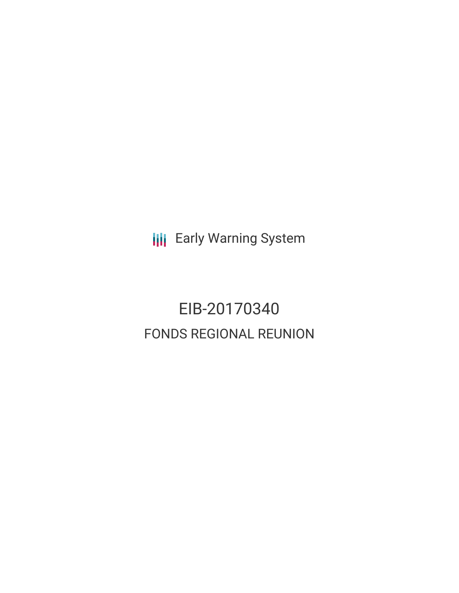**III** Early Warning System

# EIB-20170340 FONDS REGIONAL REUNION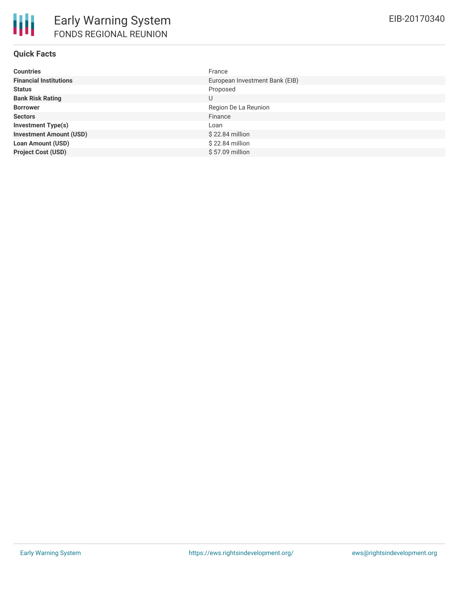| <b>Countries</b>               | France                         |
|--------------------------------|--------------------------------|
| <b>Financial Institutions</b>  | European Investment Bank (EIB) |
| <b>Status</b>                  | Proposed                       |
| <b>Bank Risk Rating</b>        | U                              |
| <b>Borrower</b>                | Region De La Reunion           |
| <b>Sectors</b>                 | Finance                        |
| <b>Investment Type(s)</b>      | Loan                           |
| <b>Investment Amount (USD)</b> | $$22.84$ million               |
| <b>Loan Amount (USD)</b>       | $$22.84$ million               |
| <b>Project Cost (USD)</b>      | \$57.09 million                |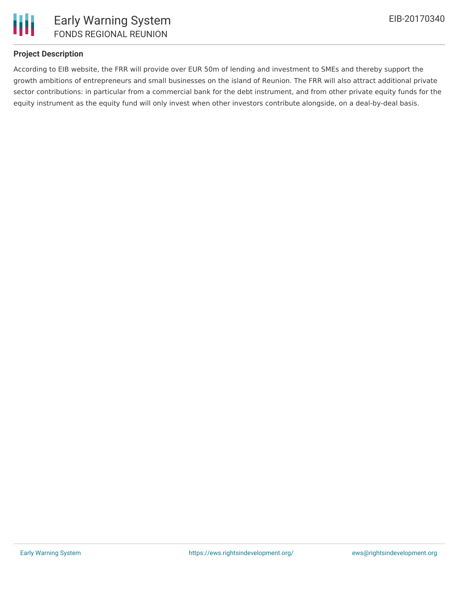

## **Project Description**

According to EIB website, the FRR will provide over EUR 50m of lending and investment to SMEs and thereby support the growth ambitions of entrepreneurs and small businesses on the island of Reunion. The FRR will also attract additional private sector contributions: in particular from a commercial bank for the debt instrument, and from other private equity funds for the equity instrument as the equity fund will only invest when other investors contribute alongside, on a deal-by-deal basis.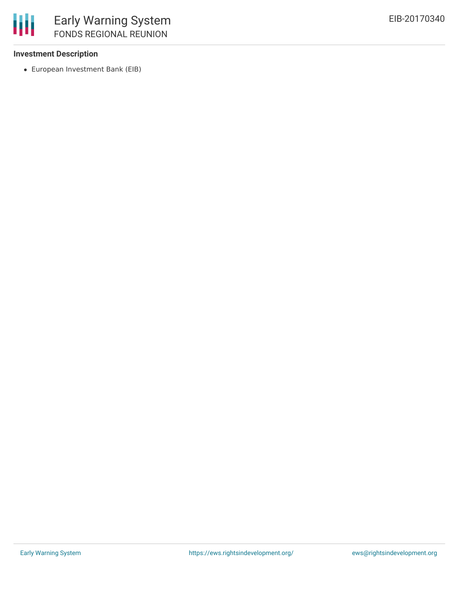#### **Investment Description**

European Investment Bank (EIB)